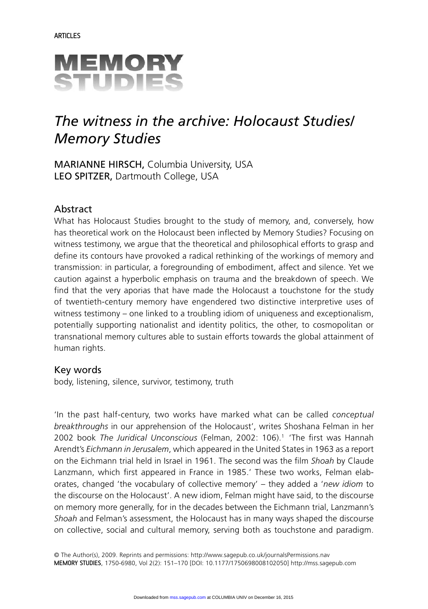

# *The witness in the archive: Holocaust Studies/ Memory Studies*

MARIANNE HIRSCH, Columbia University, USA LEO SPITZER, Dartmouth College, USA

#### Abstract

What has Holocaust Studies brought to the study of memory, and, conversely, how has theoretical work on the Holocaust been inflected by Memory Studies? Focusing on witness testimony, we argue that the theoretical and philosophical efforts to grasp and define its contours have provoked a radical rethinking of the workings of memory and transmission: in particular, a foregrounding of embodiment, affect and silence. Yet we caution against a hyperbolic emphasis on trauma and the breakdown of speech. We find that the very aporias that have made the Holocaust a touchstone for the study of twentieth-century memory have engendered two distinctive interpretive uses of witness testimony – one linked to a troubling idiom of uniqueness and exceptionalism, potentially supporting nationalist and identity politics, the other, to cosmopolitan or transnational memory cultures able to sustain efforts towards the global attainment of human rights.

#### Key words

body, listening, silence, survivor, testimony, truth

'In the past half-century, two works have marked what can be called *conceptual breakthroughs* in our apprehension of the Holocaust', writes Shoshana Felman in her 2002 book *The Juridical Unconscious* (Felman, 2002: 106).<sup>1</sup> 'The first was Hannah Arendt's *Eichmann in Jerusalem*, which appeared in the United States in 1963 as a report on the Eichmann trial held in Israel in 1961. The second was the film *Shoah* by Claude Lanzmann, which first appeared in France in 1985.' These two works, Felman elaborates, changed 'the vocabulary of collective memory' – they added a '*new idiom* to the discourse on the Holocaust'. A new idiom, Felman might have said, to the discourse on memory more generally, for in the decades between the Eichmann trial, Lanzmann's *Shoah* and Felman's assessment, the Holocaust has in many ways shaped the discourse on collective, social and cultural memory, serving both as touchstone and paradigm.

© The Author(s), 2009. Reprints and permissions: http://www.sagepub.co.uk/journalsPermissions.nav MEMORY STUDIES, 1750-6980, Vol 2(2): 151–170 [DOI: 10.1177/1750698008102050] http://mss.sagepub.com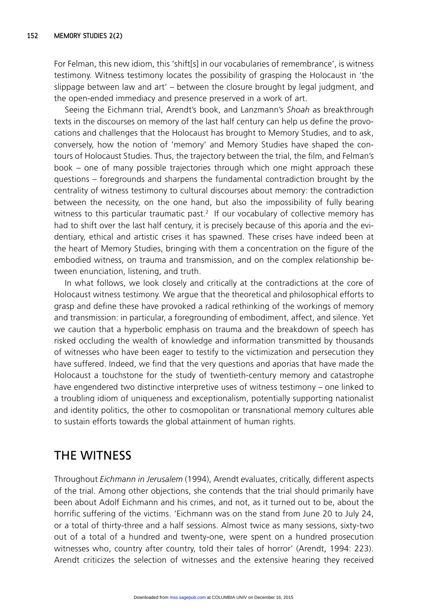For Felman, this new idiom, this 'shift[s] in our vocabularies of remembrance', is witness testimony. Witness testimony locates the possibility of grasping the Holocaust in 'the slippage between law and art' – between the closure brought by legal judgment, and the open-ended immediacy and presence preserved in a work of art.

Seeing the Eichmann trial, Arendt's book, and Lanzmann's *Shoah* as breakthrough texts in the discourses on memory of the last half century can help us define the provocations and challenges that the Holocaust has brought to Memory Studies, and to ask, conversely, how the notion of 'memory' and Memory Studies have shaped the contours of Holocaust Studies. Thus, the trajectory between the trial, the film, and Felman's book – one of many possible trajectories through which one might approach these questions – foregrounds and sharpens the fundamental contradiction brought by the centrality of witness testimony to cultural discourses about memory: the contradiction between the necessity, on the one hand, but also the impossibility of fully bearing witness to this particular traumatic past.<sup>2</sup> If our vocabulary of collective memory has had to shift over the last half century, it is precisely because of this aporia and the evidentiary, ethical and artistic crises it has spawned. These crises have indeed been at the heart of Memory Studies, bringing with them a concentration on the figure of the embodied witness, on trauma and transmission, and on the complex relationship between enunciation, listening, and truth.

In what follows, we look closely and critically at the contradictions at the core of Holocaust witness testimony. We argue that the theoretical and philosophical efforts to grasp and define these have provoked a radical rethinking of the workings of memory and transmission: in particular, a foregrounding of embodiment, affect, and silence. Yet we caution that a hyperbolic emphasis on trauma and the breakdown of speech has risked occluding the wealth of knowledge and information transmitted by thousands of witnesses who have been eager to testify to the victimization and persecution they have suffered. Indeed, we find that the very questions and aporias that have made the Holocaust a touchstone for the study of twentieth-century memory and catastrophe have engendered two distinctive interpretive uses of witness testimony – one linked to a troubling idiom of uniqueness and exceptionalism, potentially supporting nationalist and identity politics, the other to cosmopolitan or transnational memory cultures able to sustain efforts towards the global attainment of human rights.

# THE WITNESS

Throughout *Eichmann in Jerusalem* (1994), Arendt evaluates, critically, different aspects of the trial. Among other objections, she contends that the trial should primarily have been about Adolf Eichmann and his crimes, and not, as it turned out to be, about the horrific suffering of the victims. 'Eichmann was on the stand from June 20 to July 24, or a total of thirty-three and a half sessions. Almost twice as many sessions, sixty-two out of a total of a hundred and twenty-one, were spent on a hundred prosecution witnesses who, country after country, told their tales of horror' (Arendt, 1994: 223). Arendt criticizes the selection of witnesses and the extensive hearing they received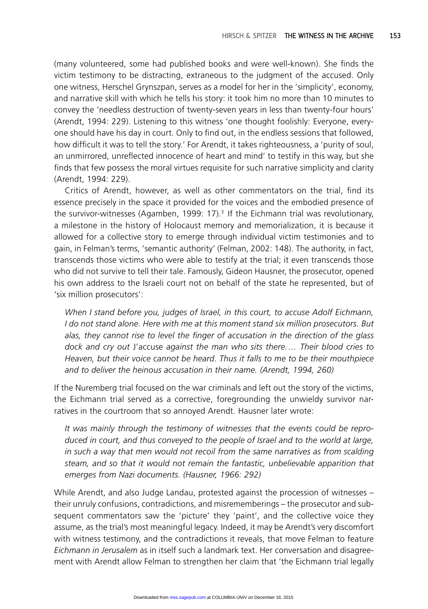(many volunteered, some had published books and were well-known). She finds the victim testimony to be distracting, extraneous to the judgment of the accused. Only one witness, Herschel Grynszpan, serves as a model for her in the 'simplicity', economy, and narrative skill with which he tells his story: it took him no more than 10 minutes to convey the 'needless destruction of twenty-seven years in less than twenty-four hours' (Arendt, 1994: 229). Listening to this witness 'one thought foolishly: Everyone, everyone should have his day in court. Only to find out, in the endless sessions that followed, how difficult it was to tell the story.' For Arendt, it takes righteousness, a 'purity of soul, an unmirrored, unreflected innocence of heart and mind' to testify in this way, but she finds that few possess the moral virtues requisite for such narrative simplicity and clarity (Arendt, 1994: 229).

Critics of Arendt, however, as well as other commentators on the trial, find its essence precisely in the space it provided for the voices and the embodied presence of the survivor-witnesses (Agamben, 1999: 17).<sup>3</sup> If the Eichmann trial was revolutionary, a milestone in the history of Holocaust memory and memorialization, it is because it allowed for a collective story to emerge through individual victim testimonies and to gain, in Felman's terms, 'semantic authority' (Felman, 2002: 148). The authority, in fact, transcends those victims who were able to testify at the trial; it even transcends those who did not survive to tell their tale. Famously, Gideon Hausner, the prosecutor, opened his own address to the Israeli court not on behalf of the state he represented, but of 'six million prosecutors':

*When I stand before you, judges of Israel, in this court, to accuse Adolf Eichmann, I do not stand alone. Here with me at this moment stand six million prosecutors. But*  alas, they cannot rise to level the finger of accusation in the direction of the glass *dock and cry out* J'accuse *against the man who sits there. … Their blood cries to Heaven, but their voice cannot be heard. Thus it falls to me to be their mouthpiece and to deliver the heinous accusation in their name. (Arendt, 1994, 260)*

If the Nuremberg trial focused on the war criminals and left out the story of the victims, the Eichmann trial served as a corrective, foregrounding the unwieldy survivor narratives in the courtroom that so annoyed Arendt. Hausner later wrote:

*It was mainly through the testimony of witnesses that the events could be reproduced in court, and thus conveyed to the people of Israel and to the world at large, in such a way that men would not recoil from the same narratives as from scalding steam, and so that it would not remain the fantastic, unbelievable apparition that emerges from Nazi documents. (Hausner, 1966: 292)*

While Arendt, and also Judge Landau, protested against the procession of witnesses – their unruly confusions, contradictions, and misrememberings – the prosecutor and subsequent commentators saw the 'picture' they 'paint', and the collective voice they assume, as the trial's most meaningful legacy. Indeed, it may be Arendt's very discomfort with witness testimony, and the contradictions it reveals, that move Felman to feature *Eichmann in Jerusalem* as in itself such a landmark text. Her conversation and disagreement with Arendt allow Felman to strengthen her claim that 'the Eichmann trial legally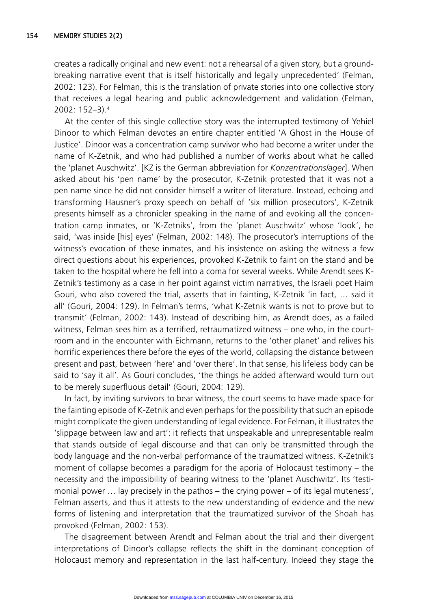creates a radically original and new event: not a rehearsal of a given story, but a groundbreaking narrative event that is itself historically and legally unprecedented' (Felman, 2002: 123). For Felman, this is the translation of private stories into one collective story that receives a legal hearing and public acknowledgement and validation (Felman, 2002: 152–3).4

At the center of this single collective story was the interrupted testimony of Yehiel Dinoor to which Felman devotes an entire chapter entitled 'A Ghost in the House of Justice'. Dinoor was a concentration camp survivor who had become a writer under the name of K-Zetnik, and who had published a number of works about what he called the 'planet Auschwitz'. [KZ is the German abbreviation for *Konzentrationslager*]. When asked about his 'pen name' by the prosecutor, K-Zetnik protested that it was not a pen name since he did not consider himself a writer of literature. Instead, echoing and transforming Hausner's proxy speech on behalf of 'six million prosecutors', K-Zetnik presents himself as a chronicler speaking in the name of and evoking all the concentration camp inmates, or 'K-Zetniks', from the 'planet Auschwitz' whose 'look', he said, 'was inside [his] eyes' (Felman, 2002: 148). The prosecutor's interruptions of the witness's evocation of these inmates, and his insistence on asking the witness a few direct questions about his experiences, provoked K-Zetnik to faint on the stand and be taken to the hospital where he fell into a coma for several weeks. While Arendt sees K-Zetnik's testimony as a case in her point against victim narratives, the Israeli poet Haim Gouri, who also covered the trial, asserts that in fainting, K-Zetnik 'in fact, … said it all' (Gouri, 2004: 129). In Felman's terms, 'what K-Zetnik wants is not to prove but to transmit' (Felman, 2002: 143). Instead of describing him, as Arendt does, as a failed witness, Felman sees him as a terrified, retraumatized witness – one who, in the courtroom and in the encounter with Eichmann, returns to the 'other planet' and relives his horrific experiences there before the eyes of the world, collapsing the distance between present and past, between 'here' and 'over there'. In that sense, his lifeless body can be said to 'say it all'. As Gouri concludes, 'the things he added afterward would turn out to be merely superfluous detail' (Gouri, 2004: 129).

In fact, by inviting survivors to bear witness, the court seems to have made space for the fainting episode of K-Zetnik and even perhaps for the possibility that such an episode might complicate the given understanding of legal evidence. For Felman, it illustrates the 'slippage between law and art': it reflects that unspeakable and unrepresentable realm that stands outside of legal discourse and that can only be transmitted through the body language and the non-verbal performance of the traumatized witness. K-Zetnik's moment of collapse becomes a paradigm for the aporia of Holocaust testimony – the necessity and the impossibility of bearing witness to the 'planet Auschwitz'. Its 'testimonial power … lay precisely in the pathos – the crying power – of its legal muteness', Felman asserts, and thus it attests to the new understanding of evidence and the new forms of listening and interpretation that the traumatized survivor of the Shoah has provoked (Felman, 2002: 153).

The disagreement between Arendt and Felman about the trial and their divergent interpretations of Dinoor's collapse reflects the shift in the dominant conception of Holocaust memory and representation in the last half-century. Indeed they stage the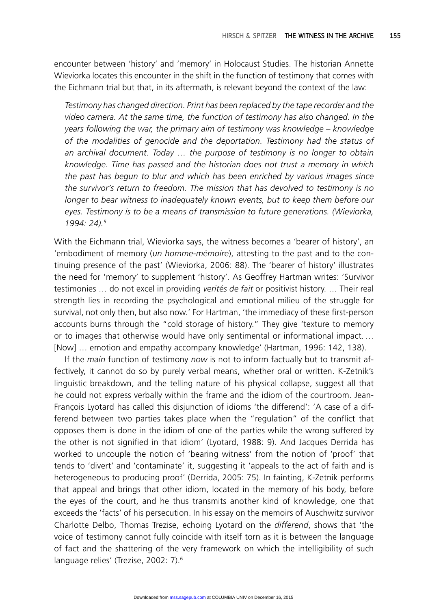encounter between 'history' and 'memory' in Holocaust Studies. The historian Annette Wieviorka locates this encounter in the shift in the function of testimony that comes with the Eichmann trial but that, in its aftermath, is relevant beyond the context of the law:

*Testimony has changed direction. Print has been replaced by the tape recorder and the video camera. At the same time, the function of testimony has also changed. In the years following the war, the primary aim of testimony was knowledge – knowledge of the modalities of genocide and the deportation. Testimony had the status of an archival document. Today … the purpose of testimony is no longer to obtain knowledge. Time has passed and the historian does not trust a memory in which the past has begun to blur and which has been enriched by various images since the survivor's return to freedom. The mission that has devolved to testimony is no longer to bear witness to inadequately known events, but to keep them before our eyes. Testimony is to be a means of transmission to future generations. (Wieviorka, 1994: 24).5*

With the Eichmann trial, Wieviorka says, the witness becomes a 'bearer of history', an 'embodiment of memory (*un homme-mémoire*), attesting to the past and to the continuing presence of the past' (Wieviorka, 2006: 88). The 'bearer of history' illustrates the need for 'memory' to supplement 'history'. As Geoffrey Hartman writes: 'Survivor testimonies … do not excel in providing *verités de fait* or positivist history. … Their real strength lies in recording the psychological and emotional milieu of the struggle for survival, not only then, but also now.' For Hartman, 'the immediacy of these first-person accounts burns through the "cold storage of history." They give 'texture to memory or to images that otherwise would have only sentimental or informational impact. … [Now] … emotion and empathy accompany knowledge' (Hartman, 1996: 142, 138).

If the *main* function of testimony *now* is not to inform factually but to transmit affectively, it cannot do so by purely verbal means, whether oral or written. K-Zetnik's linguistic breakdown, and the telling nature of his physical collapse, suggest all that he could not express verbally within the frame and the idiom of the courtroom. Jean-François Lyotard has called this disjunction of idioms 'the differend': 'A case of a differend between two parties takes place when the "regulation" of the conflict that opposes them is done in the idiom of one of the parties while the wrong suffered by the other is not signified in that idiom' (Lyotard, 1988: 9). And Jacques Derrida has worked to uncouple the notion of 'bearing witness' from the notion of 'proof' that tends to 'divert' and 'contaminate' it, suggesting it 'appeals to the act of faith and is heterogeneous to producing proof' (Derrida, 2005: 75). In fainting, K-Zetnik performs that appeal and brings that other idiom, located in the memory of his body, before the eyes of the court, and he thus transmits another kind of knowledge, one that exceeds the 'facts' of his persecution. In his essay on the memoirs of Auschwitz survivor Charlotte Delbo, Thomas Trezise, echoing Lyotard on the *differend*, shows that 'the voice of testimony cannot fully coincide with itself torn as it is between the language of fact and the shattering of the very framework on which the intelligibility of such language relies' (Trezise, 2002: 7).6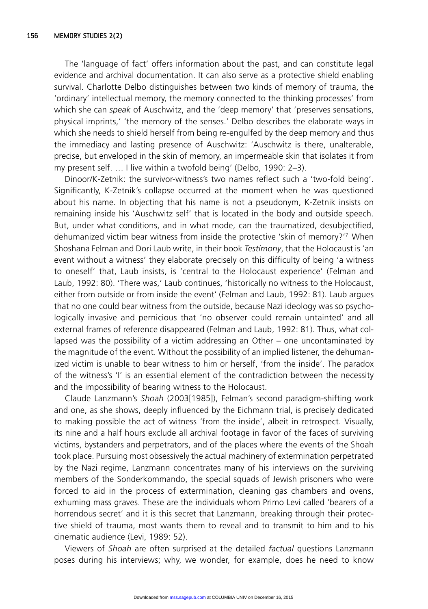The 'language of fact' offers information about the past, and can constitute legal evidence and archival documentation. It can also serve as a protective shield enabling survival. Charlotte Delbo distinguishes between two kinds of memory of trauma, the 'ordinary' intellectual memory, the memory connected to the thinking processes' from which she can *speak* of Auschwitz, and the 'deep memory' that 'preserves sensations, physical imprints,' 'the memory of the senses.' Delbo describes the elaborate ways in which she needs to shield herself from being re-engulfed by the deep memory and thus the immediacy and lasting presence of Auschwitz: 'Auschwitz is there, unalterable, precise, but enveloped in the skin of memory, an impermeable skin that isolates it from my present self. … I live within a twofold being' (Delbo, 1990: 2–3).

Dinoor/K-Zetnik: the survivor-witness's two names reflect such a 'two-fold being'. Significantly, K-Zetnik's collapse occurred at the moment when he was questioned about his name. In objecting that his name is not a pseudonym, K-Zetnik insists on remaining inside his 'Auschwitz self' that is located in the body and outside speech. But, under what conditions, and in what mode, can the traumatized, desubjectified, dehumanized victim bear witness from inside the protective 'skin of memory?'7 When Shoshana Felman and Dori Laub write, in their book *Testimony*, that the Holocaust is 'an event without a witness' they elaborate precisely on this difficulty of being 'a witness to oneself' that, Laub insists, is 'central to the Holocaust experience' (Felman and Laub, 1992: 80). 'There was,' Laub continues, 'historically no witness to the Holocaust, either from outside or from inside the event' (Felman and Laub, 1992: 81). Laub argues that no one could bear witness from the outside, because Nazi ideology was so psychologically invasive and pernicious that 'no observer could remain untainted' and all external frames of reference disappeared (Felman and Laub, 1992: 81). Thus, what collapsed was the possibility of a victim addressing an Other – one uncontaminated by the magnitude of the event. Without the possibility of an implied listener, the dehumanized victim is unable to bear witness to him or herself, 'from the inside'. The paradox of the witness's 'I' is an essential element of the contradiction between the necessity and the impossibility of bearing witness to the Holocaust.

Claude Lanzmann's *Shoah* (2003[1985]), Felman's second paradigm-shifting work and one, as she shows, deeply influenced by the Eichmann trial, is precisely dedicated to making possible the act of witness 'from the inside', albeit in retrospect. Visually, its nine and a half hours exclude all archival footage in favor of the faces of surviving victims, bystanders and perpetrators, and of the places where the events of the Shoah took place. Pursuing most obsessively the actual machinery of extermination perpetrated by the Nazi regime, Lanzmann concentrates many of his interviews on the surviving members of the Sonderkommando, the special squads of Jewish prisoners who were forced to aid in the process of extermination, cleaning gas chambers and ovens, exhuming mass graves. These are the individuals whom Primo Levi called 'bearers of a horrendous secret' and it is this secret that Lanzmann, breaking through their protective shield of trauma, most wants them to reveal and to transmit to him and to his cinematic audience (Levi, 1989: 52).

Viewers of *Shoah* are often surprised at the detailed *factual* questions Lanzmann poses during his interviews; why, we wonder, for example, does he need to know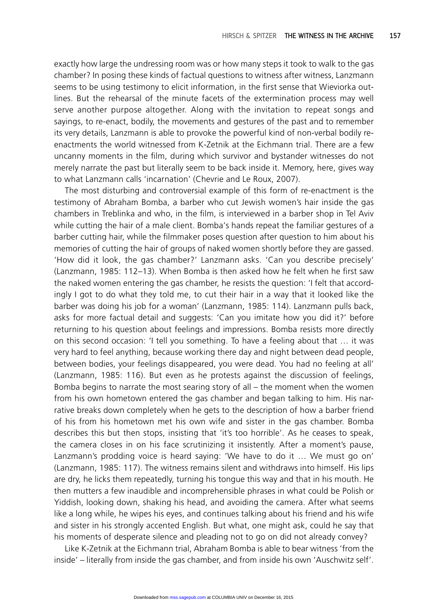exactly how large the undressing room was or how many steps it took to walk to the gas chamber? In posing these kinds of factual questions to witness after witness, Lanzmann seems to be using testimony to elicit information, in the first sense that Wieviorka outlines. But the rehearsal of the minute facets of the extermination process may well serve another purpose altogether. Along with the invitation to repeat songs and sayings, to re-enact, bodily, the movements and gestures of the past and to remember its very details, Lanzmann is able to provoke the powerful kind of non-verbal bodily reenactments the world witnessed from K-Zetnik at the Eichmann trial. There are a few uncanny moments in the film, during which survivor and bystander witnesses do not merely narrate the past but literally seem to be back inside it. Memory, here, gives way to what Lanzmann calls 'incarnation' (Chevrie and Le Roux, 2007).

The most disturbing and controversial example of this form of re-enactment is the testimony of Abraham Bomba, a barber who cut Jewish women's hair inside the gas chambers in Treblinka and who, in the film, is interviewed in a barber shop in Tel Aviv while cutting the hair of a male client. Bomba's hands repeat the familiar gestures of a barber cutting hair, while the filmmaker poses question after question to him about his memories of cutting the hair of groups of naked women shortly before they are gassed. 'How did it look, the gas chamber?' Lanzmann asks. 'Can you describe precisely'  $(Lanzmann, 1985: 112-13)$ . When Bomba is then asked how he felt when he first saw the naked women entering the gas chamber, he resists the question: 'I felt that accordingly I got to do what they told me, to cut their hair in a way that it looked like the barber was doing his job for a woman' (Lanzmann, 1985: 114). Lanzmann pulls back, asks for more factual detail and suggests: 'Can you imitate how you did it?' before returning to his question about feelings and impressions. Bomba resists more directly on this second occasion: 'I tell you something. To have a feeling about that … it was very hard to feel anything, because working there day and night between dead people, between bodies, your feelings disappeared, you were dead. You had no feeling at all' (Lanzmann, 1985: 116). But even as he protests against the discussion of feelings, Bomba begins to narrate the most searing story of all – the moment when the women from his own hometown entered the gas chamber and began talking to him. His narrative breaks down completely when he gets to the description of how a barber friend of his from his hometown met his own wife and sister in the gas chamber. Bomba describes this but then stops, insisting that 'it's too horrible'. As he ceases to speak, the camera closes in on his face scrutinizing it insistently. After a moment's pause, Lanzmann's prodding voice is heard saying: 'We have to do it … We must go on' (Lanzmann, 1985: 117). The witness remains silent and withdraws into himself. His lips are dry, he licks them repeatedly, turning his tongue this way and that in his mouth. He then mutters a few inaudible and incomprehensible phrases in what could be Polish or Yiddish, looking down, shaking his head, and avoiding the camera. After what seems like a long while, he wipes his eyes, and continues talking about his friend and his wife and sister in his strongly accented English. But what, one might ask, could he say that his moments of desperate silence and pleading not to go on did not already convey?

Like K-Zetnik at the Eichmann trial, Abraham Bomba is able to bear witness 'from the inside' – literally from inside the gas chamber, and from inside his own 'Auschwitz self'.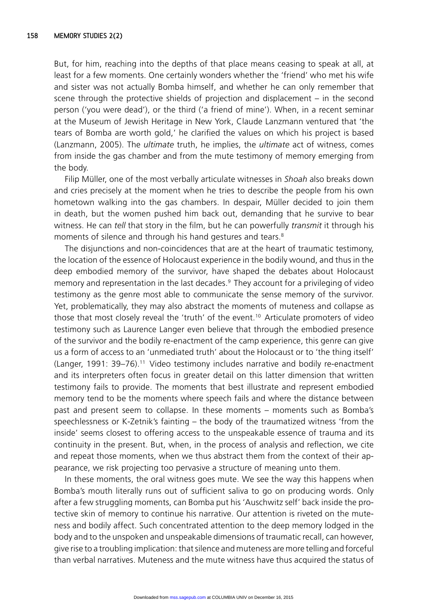But, for him, reaching into the depths of that place means ceasing to speak at all, at least for a few moments. One certainly wonders whether the 'friend' who met his wife and sister was not actually Bomba himself, and whether he can only remember that scene through the protective shields of projection and displacement – in the second person ('you were dead'), or the third ('a friend of mine'). When, in a recent seminar at the Museum of Jewish Heritage in New York, Claude Lanzmann ventured that 'the tears of Bomba are worth gold,' he clarified the values on which his project is based (Lanzmann, 2005). The *ultimate* truth, he implies, the *ultimate* act of witness, comes from inside the gas chamber and from the mute testimony of memory emerging from the body.

Filip Müller, one of the most verbally articulate witnesses in *Shoah* also breaks down and cries precisely at the moment when he tries to describe the people from his own hometown walking into the gas chambers. In despair, Müller decided to join them in death, but the women pushed him back out, demanding that he survive to bear witness. He can *tell* that story in the film, but he can powerfully *transmit* it through his moments of silence and through his hand gestures and tears.<sup>8</sup>

The disjunctions and non-coincidences that are at the heart of traumatic testimony, the location of the essence of Holocaust experience in the bodily wound, and thus in the deep embodied memory of the survivor, have shaped the debates about Holocaust memory and representation in the last decades.9 They account for a privileging of video testimony as the genre most able to communicate the sense memory of the survivor. Yet, problematically, they may also abstract the moments of muteness and collapse as those that most closely reveal the 'truth' of the event.10 Articulate promoters of video testimony such as Laurence Langer even believe that through the embodied presence of the survivor and the bodily re-enactment of the camp experience, this genre can give us a form of access to an 'unmediated truth' about the Holocaust or to 'the thing itself' (Langer, 1991: 39–76).11 Video testimony includes narrative and bodily re-enactment and its interpreters often focus in greater detail on this latter dimension that written testimony fails to provide. The moments that best illustrate and represent embodied memory tend to be the moments where speech fails and where the distance between past and present seem to collapse. In these moments – moments such as Bomba's speechlessness or K-Zetnik's fainting – the body of the traumatized witness 'from the inside' seems closest to offering access to the unspeakable essence of trauma and its continuity in the present. But, when, in the process of analysis and reflection, we cite and repeat those moments, when we thus abstract them from the context of their appearance, we risk projecting too pervasive a structure of meaning unto them.

In these moments, the oral witness goes mute. We see the way this happens when Bomba's mouth literally runs out of sufficient saliva to go on producing words. Only after a few struggling moments, can Bomba put his 'Auschwitz self' back inside the protective skin of memory to continue his narrative. Our attention is riveted on the muteness and bodily affect. Such concentrated attention to the deep memory lodged in the body and to the unspoken and unspeakable dimensions of traumatic recall, can however, give rise to a troubling implication: that silence and muteness are more telling and forceful than verbal narratives. Muteness and the mute witness have thus acquired the status of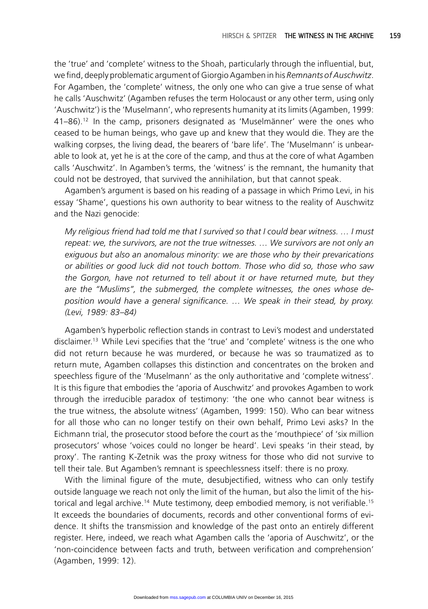the 'true' and 'complete' witness to the Shoah, particularly through the influential, but, we find, deeply problematic argument of Giorgio Agamben in his *Remnants of Auschwitz*. For Agamben, the 'complete' witness, the only one who can give a true sense of what he calls 'Auschwitz' (Agamben refuses the term Holocaust or any other term, using only 'Auschwitz') is the 'Muselmann', who represents humanity at its limits (Agamben, 1999: 41–86).12 In the camp, prisoners designated as 'Muselmänner' were the ones who ceased to be human beings, who gave up and knew that they would die. They are the walking corpses, the living dead, the bearers of 'bare life'. The 'Muselmann' is unbearable to look at, yet he is at the core of the camp, and thus at the core of what Agamben calls 'Auschwitz'. In Agamben's terms, the 'witness' is the remnant, the humanity that could not be destroyed, that survived the annihilation, but that cannot speak.

Agamben's argument is based on his reading of a passage in which Primo Levi, in his essay 'Shame', questions his own authority to bear witness to the reality of Auschwitz and the Nazi genocide:

*My religious friend had told me that I survived so that I could bear witness. … I must repeat: we, the survivors, are not the true witnesses. … We survivors are not only an exiguous but also an anomalous minority: we are those who by their prevarications or abilities or good luck did not touch bottom. Those who did so, those who saw the Gorgon, have not returned to tell about it or have returned mute, but they are the "Muslims", the submerged, the complete witnesses, the ones whose de*position would have a general significance. ... We speak in their stead, by proxy. *(Levi, 1989: 83–84)*

Agamben's hyperbolic reflection stands in contrast to Levi's modest and understated disclaimer.<sup>13</sup> While Levi specifies that the 'true' and 'complete' witness is the one who did not return because he was murdered, or because he was so traumatized as to return mute, Agamben collapses this distinction and concentrates on the broken and speechless figure of the 'Muselmann' as the only authoritative and 'complete witness'. It is this figure that embodies the 'aporia of Auschwitz' and provokes Agamben to work through the irreducible paradox of testimony: 'the one who cannot bear witness is the true witness, the absolute witness' (Agamben, 1999: 150). Who can bear witness for all those who can no longer testify on their own behalf, Primo Levi asks? In the Eichmann trial, the prosecutor stood before the court as the 'mouthpiece' of 'six million prosecutors' whose 'voices could no longer be heard'. Levi speaks 'in their stead, by proxy'. The ranting K-Zetnik was the proxy witness for those who did not survive to tell their tale. But Agamben's remnant is speechlessness itself: there is no proxy.

With the liminal figure of the mute, desubjectified, witness who can only testify outside language we reach not only the limit of the human, but also the limit of the historical and legal archive.<sup>14</sup> Mute testimony, deep embodied memory, is not verifiable.<sup>15</sup> It exceeds the boundaries of documents, records and other conventional forms of evidence. It shifts the transmission and knowledge of the past onto an entirely different register. Here, indeed, we reach what Agamben calls the 'aporia of Auschwitz', or the 'non-coincidence between facts and truth, between verification and comprehension' (Agamben, 1999: 12).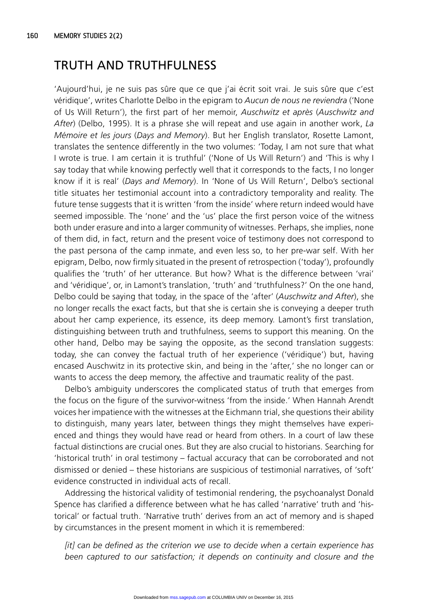## TRUTH AND TRUTHFULNESS

'Aujourd'hui, je ne suis pas sûre que ce que j'ai écrit soit vrai. Je suis sûre que c'est véridique', writes Charlotte Delbo in the epigram to *Aucun de nous ne reviendra* ('None of Us Will Return'), the first part of her memoir, *Auschwitz et après* (Auschwitz and *After*) (Delbo, 1995). It is a phrase she will repeat and use again in another work, *La Mémoire et les jours* (*Days and Memory*). But her English translator, Rosette Lamont, translates the sentence differently in the two volumes: 'Today, I am not sure that what I wrote is true. I am certain it is truthful' ('None of Us Will Return') and 'This is why I say today that while knowing perfectly well that it corresponds to the facts, I no longer know if it is real' (*Days and Memory*). In 'None of Us Will Return', Delbo's sectional title situates her testimonial account into a contradictory temporality and reality. The future tense suggests that it is written 'from the inside' where return indeed would have seemed impossible. The 'none' and the 'us' place the first person voice of the witness both under erasure and into a larger community of witnesses. Perhaps, she implies, none of them did, in fact, return and the present voice of testimony does not correspond to the past persona of the camp inmate, and even less so, to her pre-war self. With her epigram, Delbo, now firmly situated in the present of retrospection ('today'), profoundly qualifies the 'truth' of her utterance. But how? What is the difference between 'vrai' and 'véridique', or, in Lamont's translation, 'truth' and 'truthfulness?' On the one hand, Delbo could be saying that today, in the space of the 'after' (*Auschwitz and After*), she no longer recalls the exact facts, but that she is certain she is conveying a deeper truth about her camp experience, its essence, its deep memory. Lamont's first translation, distinguishing between truth and truthfulness, seems to support this meaning. On the other hand, Delbo may be saying the opposite, as the second translation suggests: today, she can convey the factual truth of her experience ('véridique') but, having encased Auschwitz in its protective skin, and being in the 'after,' she no longer can or wants to access the deep memory, the affective and traumatic reality of the past.

Delbo's ambiguity underscores the complicated status of truth that emerges from the focus on the figure of the survivor-witness 'from the inside.' When Hannah Arendt voices her impatience with the witnesses at the Eichmann trial, she questions their ability to distinguish, many years later, between things they might themselves have experienced and things they would have read or heard from others. In a court of law these factual distinctions are crucial ones. But they are also crucial to historians. Searching for 'historical truth' in oral testimony – factual accuracy that can be corroborated and not dismissed or denied – these historians are suspicious of testimonial narratives, of 'soft' evidence constructed in individual acts of recall.

Addressing the historical validity of testimonial rendering, the psychoanalyst Donald Spence has clarified a difference between what he has called 'narrative' truth and 'historical' or factual truth. 'Narrative truth' derives from an act of memory and is shaped by circumstances in the present moment in which it is remembered:

*[it]* can be defined as the criterion we use to decide when a certain experience has *been captured to our satisfaction; it depends on continuity and closure and the*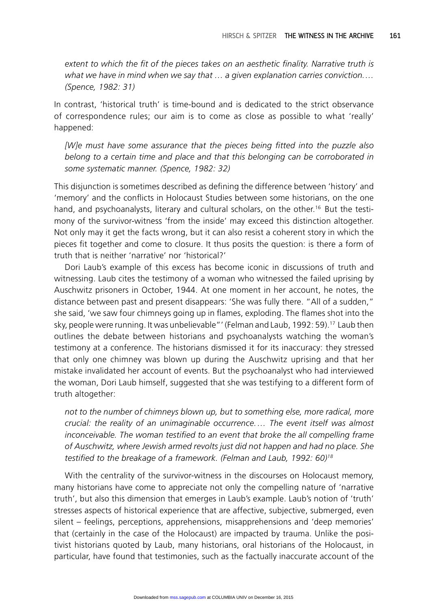extent to which the fit of the pieces takes on an aesthetic finality. Narrative truth is *what we have in mind when we say that … a given explanation carries conviction. … (Spence, 1982: 31)*

In contrast, 'historical truth' is time-bound and is dedicated to the strict observance of correspondence rules; our aim is to come as close as possible to what 'really' happened:

*[W]e must have some assurance that the pieces being fitted into the puzzle also belong to a certain time and place and that this belonging can be corroborated in some systematic manner. (Spence, 1982: 32)*

This disjunction is sometimes described as defining the difference between 'history' and 'memory' and the conflicts in Holocaust Studies between some historians, on the one hand, and psychoanalysts, literary and cultural scholars, on the other.<sup>16</sup> But the testimony of the survivor-witness 'from the inside' may exceed this distinction altogether. Not only may it get the facts wrong, but it can also resist a coherent story in which the pieces fit together and come to closure. It thus posits the question: is there a form of truth that is neither 'narrative' nor 'historical?'

Dori Laub's example of this excess has become iconic in discussions of truth and witnessing. Laub cites the testimony of a woman who witnessed the failed uprising by Auschwitz prisoners in October, 1944. At one moment in her account, he notes, the distance between past and present disappears: 'She was fully there. "All of a sudden," she said, 'we saw four chimneys going up in flames, exploding. The flames shot into the sky, people were running. It was unbelievable"' (Felman and Laub, 1992: 59).17 Laub then outlines the debate between historians and psychoanalysts watching the woman's testimony at a conference. The historians dismissed it for its inaccuracy: they stressed that only one chimney was blown up during the Auschwitz uprising and that her mistake invalidated her account of events. But the psychoanalyst who had interviewed the woman, Dori Laub himself, suggested that she was testifying to a different form of truth altogether:

*not to the number of chimneys blown up, but to something else, more radical, more crucial: the reality of an unimaginable occurrence. … The event itself was almost inconceivable. The woman testified to an event that broke the all compelling frame of Auschwitz, where Jewish armed revolts just did not happen and had no place. She*  testified to the breakage of a framework. (Felman and Laub, 1992: 60)<sup>18</sup>

With the centrality of the survivor-witness in the discourses on Holocaust memory, many historians have come to appreciate not only the compelling nature of 'narrative truth', but also this dimension that emerges in Laub's example. Laub's notion of 'truth' stresses aspects of historical experience that are affective, subjective, submerged, even silent – feelings, perceptions, apprehensions, misapprehensions and 'deep memories' that (certainly in the case of the Holocaust) are impacted by trauma. Unlike the positivist historians quoted by Laub, many historians, oral historians of the Holocaust, in particular, have found that testimonies, such as the factually inaccurate account of the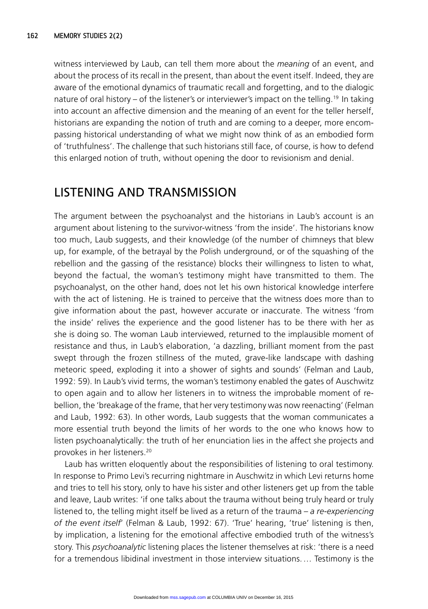witness interviewed by Laub, can tell them more about the *meaning* of an event, and about the process of its recall in the present, than about the event itself. Indeed, they are aware of the emotional dynamics of traumatic recall and forgetting, and to the dialogic nature of oral history – of the listener's or interviewer's impact on the telling.19 In taking into account an affective dimension and the meaning of an event for the teller herself, historians are expanding the notion of truth and are coming to a deeper, more encompassing historical understanding of what we might now think of as an embodied form of 'truthfulness'. The challenge that such historians still face, of course, is how to defend this enlarged notion of truth, without opening the door to revisionism and denial.

# LISTENING AND TRANSMISSION

The argument between the psychoanalyst and the historians in Laub's account is an argument about listening to the survivor-witness 'from the inside'. The historians know too much, Laub suggests, and their knowledge (of the number of chimneys that blew up, for example, of the betrayal by the Polish underground, or of the squashing of the rebellion and the gassing of the resistance) blocks their willingness to listen to what, beyond the factual, the woman's testimony might have transmitted to them. The psychoanalyst, on the other hand, does not let his own historical knowledge interfere with the act of listening. He is trained to perceive that the witness does more than to give information about the past, however accurate or inaccurate. The witness 'from the inside' relives the experience and the good listener has to be there with her as she is doing so. The woman Laub interviewed, returned to the implausible moment of resistance and thus, in Laub's elaboration, 'a dazzling, brilliant moment from the past swept through the frozen stillness of the muted, grave-like landscape with dashing meteoric speed, exploding it into a shower of sights and sounds' (Felman and Laub, 1992: 59). In Laub's vivid terms, the woman's testimony enabled the gates of Auschwitz to open again and to allow her listeners in to witness the improbable moment of rebellion, the 'breakage of the frame, that her very testimony was now reenacting' (Felman and Laub, 1992: 63). In other words, Laub suggests that the woman communicates a more essential truth beyond the limits of her words to the one who knows how to listen psychoanalytically: the truth of her enunciation lies in the affect she projects and provokes in her listeners.20

Laub has written eloquently about the responsibilities of listening to oral testimony. In response to Primo Levi's recurring nightmare in Auschwitz in which Levi returns home and tries to tell his story, only to have his sister and other listeners get up from the table and leave, Laub writes: 'if one talks about the trauma without being truly heard or truly listened to, the telling might itself be lived as a return of the trauma – *a re-experiencing of the event itself*' (Felman & Laub, 1992: 67). 'True' hearing, 'true' listening is then, by implication, a listening for the emotional affective embodied truth of the witness's story. This *psychoanalytic* listening places the listener themselves at risk: 'there is a need for a tremendous libidinal investment in those interview situations. … Testimony is the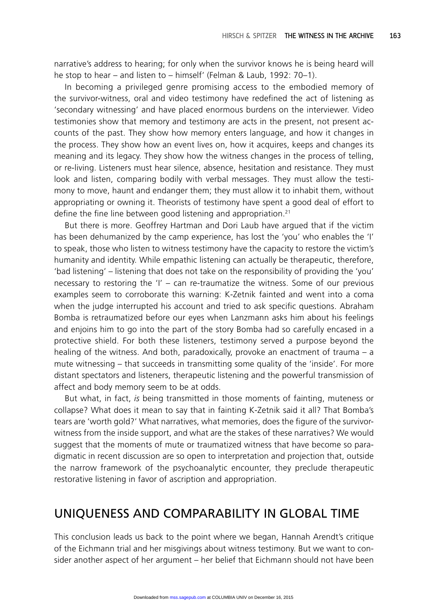narrative's address to hearing; for only when the survivor knows he is being heard will he stop to hear – and listen to – himself' (Felman & Laub, 1992: 70–1).

In becoming a privileged genre promising access to the embodied memory of the survivor-witness, oral and video testimony have redefined the act of listening as 'secondary witnessing' and have placed enormous burdens on the interviewer. Video testimonies show that memory and testimony are acts in the present, not present accounts of the past. They show how memory enters language, and how it changes in the process. They show how an event lives on, how it acquires, keeps and changes its meaning and its legacy. They show how the witness changes in the process of telling, or re-living. Listeners must hear silence, absence, hesitation and resistance. They must look and listen, comparing bodily with verbal messages. They must allow the testimony to move, haunt and endanger them; they must allow it to inhabit them, without appropriating or owning it. Theorists of testimony have spent a good deal of effort to define the fine line between good listening and appropriation.<sup>21</sup>

But there is more. Geoffrey Hartman and Dori Laub have argued that if the victim has been dehumanized by the camp experience, has lost the 'you' who enables the 'I' to speak, those who listen to witness testimony have the capacity to restore the victim's humanity and identity. While empathic listening can actually be therapeutic, therefore, 'bad listening' – listening that does not take on the responsibility of providing the 'you' necessary to restoring the 'I' – can re-traumatize the witness. Some of our previous examples seem to corroborate this warning: K-Zetnik fainted and went into a coma when the judge interrupted his account and tried to ask specific questions. Abraham Bomba is retraumatized before our eyes when Lanzmann asks him about his feelings and enjoins him to go into the part of the story Bomba had so carefully encased in a protective shield. For both these listeners, testimony served a purpose beyond the healing of the witness. And both, paradoxically, provoke an enactment of trauma – a mute witnessing – that succeeds in transmitting some quality of the 'inside'. For more distant spectators and listeners, therapeutic listening and the powerful transmission of affect and body memory seem to be at odds.

But what, in fact, *is* being transmitted in those moments of fainting, muteness or collapse? What does it mean to say that in fainting K-Zetnik said it all? That Bomba's tears are 'worth gold?' What narratives, what memories, does the figure of the survivorwitness from the inside support, and what are the stakes of these narratives? We would suggest that the moments of mute or traumatized witness that have become so paradigmatic in recent discussion are so open to interpretation and projection that, outside the narrow framework of the psychoanalytic encounter, they preclude therapeutic restorative listening in favor of ascription and appropriation.

### UNIQUENESS AND COMPARABILITY IN GLOBAL TIME

This conclusion leads us back to the point where we began, Hannah Arendt's critique of the Eichmann trial and her misgivings about witness testimony. But we want to consider another aspect of her argument – her belief that Eichmann should not have been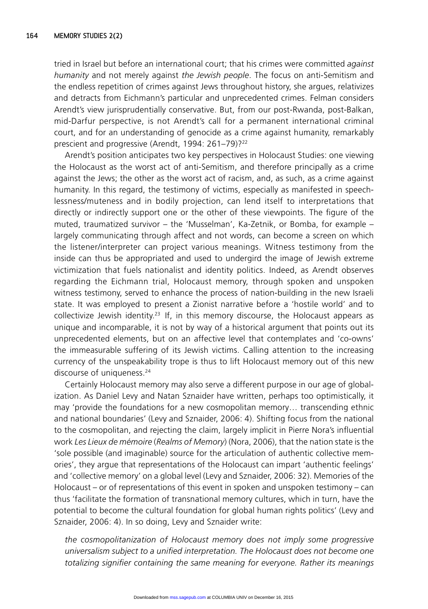tried in Israel but before an international court; that his crimes were committed *against humanity* and not merely against *the Jewish people*. The focus on anti-Semitism and the endless repetition of crimes against Jews throughout history, she argues, relativizes and detracts from Eichmann's particular and unprecedented crimes. Felman considers Arendt's view jurisprudentially conservative. But, from our post-Rwanda, post-Balkan, mid-Darfur perspective, is not Arendt's call for a permanent international criminal court, and for an understanding of genocide as a crime against humanity, remarkably prescient and progressive (Arendt, 1994: 261–79)?22

Arendt's position anticipates two key perspectives in Holocaust Studies: one viewing the Holocaust as the worst act of anti-Semitism, and therefore principally as a crime against the Jews; the other as the worst act of racism, and, as such, as a crime against humanity. In this regard, the testimony of victims, especially as manifested in speechlessness/muteness and in bodily projection, can lend itself to interpretations that directly or indirectly support one or the other of these viewpoints. The figure of the muted, traumatized survivor – the 'Musselman', Ka-Zetnik, or Bomba, for example – largely communicating through affect and not words, can become a screen on which the listener/interpreter can project various meanings. Witness testimony from the inside can thus be appropriated and used to undergird the image of Jewish extreme victimization that fuels nationalist and identity politics. Indeed, as Arendt observes regarding the Eichmann trial, Holocaust memory, through spoken and unspoken witness testimony, served to enhance the process of nation-building in the new Israeli state. It was employed to present a Zionist narrative before a 'hostile world' and to collectivize Jewish identity.<sup>23</sup> If, in this memory discourse, the Holocaust appears as unique and incomparable, it is not by way of a historical argument that points out its unprecedented elements, but on an affective level that contemplates and 'co-owns' the immeasurable suffering of its Jewish victims. Calling attention to the increasing currency of the unspeakability trope is thus to lift Holocaust memory out of this new discourse of uniqueness.<sup>24</sup>

Certainly Holocaust memory may also serve a different purpose in our age of globalization. As Daniel Levy and Natan Sznaider have written, perhaps too optimistically, it may 'provide the foundations for a new cosmopolitan memory… transcending ethnic and national boundaries' (Levy and Sznaider, 2006: 4). Shifting focus from the national to the cosmopolitan, and rejecting the claim, largely implicit in Pierre Nora's influential work *Les Lieux de mémoire* (*Realms of Memory*) (Nora, 2006), that the nation state is the 'sole possible (and imaginable) source for the articulation of authentic collective memories', they argue that representations of the Holocaust can impart 'authentic feelings' and 'collective memory' on a global level (Levy and Sznaider, 2006: 32). Memories of the Holocaust – or of representations of this event in spoken and unspoken testimony – can thus 'facilitate the formation of transnational memory cultures, which in turn, have the potential to become the cultural foundation for global human rights politics' (Levy and Sznaider, 2006: 4). In so doing, Levy and Sznaider write:

*the cosmopolitanization of Holocaust memory does not imply some progressive universalism subject to a unified interpretation. The Holocaust does not become one totalizing signifier containing the same meaning for everyone. Rather its meanings*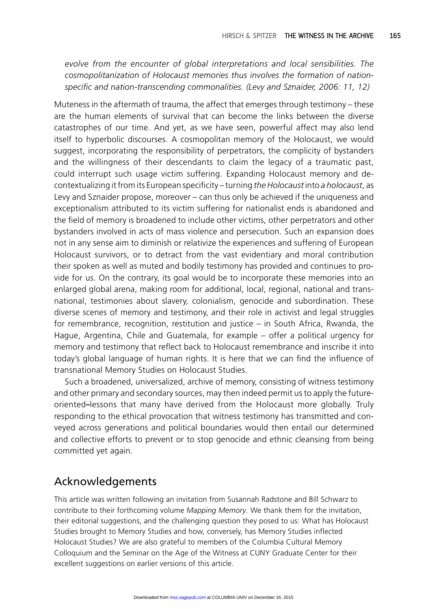*evolve from the encounter of global interpretations and local sensibilities. The cosmopolitanization of Holocaust memories thus involves the formation of nation*specific and nation-transcending commonalities. (Levy and Sznaider, 2006: 11, 12)

Muteness in the aftermath of trauma, the affect that emerges through testimony – these are the human elements of survival that can become the links between the diverse catastrophes of our time. And yet, as we have seen, powerful affect may also lend itself to hyperbolic discourses. A cosmopolitan memory of the Holocaust, we would suggest, incorporating the responsibility of perpetrators, the complicity of bystanders and the willingness of their descendants to claim the legacy of a traumatic past, could interrupt such usage victim suffering. Expanding Holocaust memory and decontextualizing it from its European specificity – turning the Holocaust into a holocaust, as Levy and Sznaider propose, moreover – can thus only be achieved if the uniqueness and exceptionalism attributed to its victim suffering for nationalist ends is abandoned and the field of memory is broadened to include other victims, other perpetrators and other bystanders involved in acts of mass violence and persecution. Such an expansion does not in any sense aim to diminish or relativize the experiences and suffering of European Holocaust survivors, or to detract from the vast evidentiary and moral contribution their spoken as well as muted and bodily testimony has provided and continues to provide for us. On the contrary, its goal would be to incorporate these memories into an enlarged global arena, making room for additional, local, regional, national and transnational, testimonies about slavery, colonialism, genocide and subordination. These diverse scenes of memory and testimony, and their role in activist and legal struggles for remembrance, recognition, restitution and justice – in South Africa, Rwanda, the Hague, Argentina, Chile and Guatemala, for example – offer a political urgency for memory and testimony that reflect back to Holocaust remembrance and inscribe it into today's global language of human rights. It is here that we can find the influence of transnational Memory Studies on Holocaust Studies.

Such a broadened, universalized, archive of memory, consisting of witness testimony and other primary and secondary sources, may then indeed permit us to apply the futureoriented lessons that many have derived from the Holocaust more globally. Truly responding to the ethical provocation that witness testimony has transmitted and conveyed across generations and political boundaries would then entail our determined and collective efforts to prevent or to stop genocide and ethnic cleansing from being committed yet again.

### Acknowledgements

This article was written following an invitation from Susannah Radstone and Bill Schwarz to contribute to their forthcoming volume *Mapping Memory*. We thank them for the invitation, their editorial suggestions, and the challenging question they posed to us: What has Holocaust Studies brought to Memory Studies and how, conversely, has Memory Studies inflected Holocaust Studies? We are also grateful to members of the Columbia Cultural Memory Colloquium and the Seminar on the Age of the Witness at CUNY Graduate Center for their excellent suggestions on earlier versions of this article.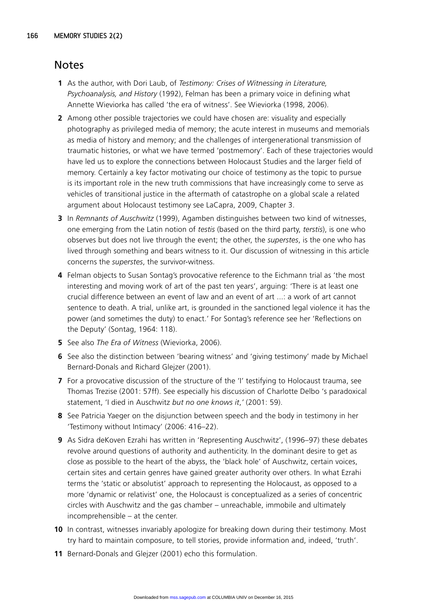#### **Notes**

- **1** As the author, with Dori Laub, of *Testimony: Crises of Witnessing in Literature, Psychoanalysis, and History* (1992), Felman has been a primary voice in defining what Annette Wieviorka has called 'the era of witness'. See Wieviorka (1998, 2006).
- **2** Among other possible trajectories we could have chosen are: visuality and especially photography as privileged media of memory; the acute interest in museums and memorials as media of history and memory; and the challenges of intergenerational transmission of traumatic histories, or what we have termed 'postmemory'. Each of these trajectories would have led us to explore the connections between Holocaust Studies and the larger field of memory. Certainly a key factor motivating our choice of testimony as the topic to pursue is its important role in the new truth commissions that have increasingly come to serve as vehicles of transitional justice in the aftermath of catastrophe on a global scale a related argument about Holocaust testimony see LaCapra, 2009, Chapter 3.
- **3** In *Remnants of Auschwitz* (1999), Agamben distinguishes between two kind of witnesses, one emerging from the Latin notion of *testis* (based on the third party, *terstis*), is one who observes but does not live through the event; the other, the *superstes*, is the one who has lived through something and bears witness to it. Our discussion of witnessing in this article concerns the *superstes*, the survivor-witness.
- **4** Felman objects to Susan Sontag's provocative reference to the Eichmann trial as 'the most interesting and moving work of art of the past ten years', arguing: 'There is at least one crucial difference between an event of law and an event of art ...: a work of art cannot sentence to death. A trial, unlike art, is grounded in the sanctioned legal violence it has the power (and sometimes the duty) to enact.' For Sontag's reference see her 'Reflections on the Deputy' (Sontag, 1964: 118).
- **5** See also *The Era of Witness* (Wieviorka, 2006).
- **6** See also the distinction between 'bearing witness' and 'giving testimony' made by Michael Bernard-Donals and Richard Glejzer (2001).
- **7** For a provocative discussion of the structure of the 'I' testifying to Holocaust trauma, see Thomas Trezise (2001: 57ff). See especially his discussion of Charlotte Delbo 's paradoxical statement, 'I died in Auschwitz *but no one knows it*,*'* (2001: 59).
- **8** See Patricia Yaeger on the disjunction between speech and the body in testimony in her 'Testimony without Intimacy' (2006: 416–22).
- **9** As Sidra deKoven Ezrahi has written in 'Representing Auschwitz', (1996–97) these debates revolve around questions of authority and authenticity. In the dominant desire to get as close as possible to the heart of the abyss, the 'black hole' of Auschwitz, certain voices, certain sites and certain genres have gained greater authority over others. In what Ezrahi terms the 'static or absolutist' approach to representing the Holocaust, as opposed to a more 'dynamic or relativist' one, the Holocaust is conceptualized as a series of concentric circles with Auschwitz and the gas chamber – unreachable, immobile and ultimately incomprehensible – at the center.
- **10** In contrast, witnesses invariably apologize for breaking down during their testimony. Most try hard to maintain composure, to tell stories, provide information and, indeed, 'truth'.
- **11** Bernard-Donals and Glejzer (2001) echo this formulation.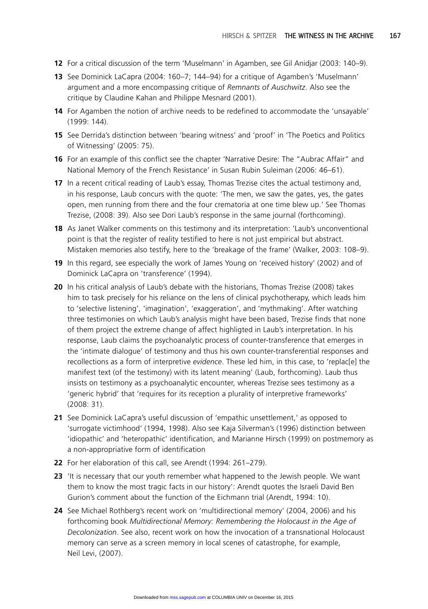- **12** For a critical discussion of the term 'Muselmann' in Agamben, see Gil Anidjar (2003: 140–9).
- **13** See Dominick LaCapra (2004: 160–7; 144–94) for a critique of Agamben's 'Muselmann' argument and a more encompassing critique of *Remnants of Auschwitz*. Also see the critique by Claudine Kahan and Philippe Mesnard (2001).
- **14** For Agamben the notion of archive needs to be redefined to accommodate the 'unsayable' (1999: 144).
- **15** See Derrida's distinction between 'bearing witness' and 'proof' in 'The Poetics and Politics of Witnessing' (2005: 75).
- **16** For an example of this conflict see the chapter 'Narrative Desire: The "Aubrac Affair" and National Memory of the French Resistance' in Susan Rubin Suleiman (2006: 46–61).
- **17** In a recent critical reading of Laub's essay, Thomas Trezise cites the actual testimony and, in his response, Laub concurs with the quote: 'The men, we saw the gates, yes, the gates open, men running from there and the four crematoria at one time blew up.' See Thomas Trezise, (2008: 39). Also see Dori Laub's response in the same journal (forthcoming).
- **18** As Janet Walker comments on this testimony and its interpretation: 'Laub's unconventional point is that the register of reality testified to here is not just empirical but abstract. Mistaken memories also testify, here to the 'breakage of the frame' (Walker, 2003: 108–9).
- **19** In this regard, see especially the work of James Young on 'received history' (2002) and of Dominick LaCapra on 'transference' (1994).
- **20** In his critical analysis of Laub's debate with the historians, Thomas Trezise (2008) takes him to task precisely for his reliance on the lens of clinical psychotherapy, which leads him to 'selective listening', 'imagination', 'exaggeration', and 'mythmaking'. After watching three testimonies on which Laub's analysis might have been based, Trezise finds that none of them project the extreme change of affect highligted in Laub's interpretation. In his response, Laub claims the psychoanalytic process of counter-transference that emerges in the 'intimate dialogue' of testimony and thus his own counter-transferential responses and recollections as a form of interpretive *evidence*. These led him, in this case, to 'replac[e] the manifest text (of the testimony) with its latent meaning' (Laub, forthcoming). Laub thus insists on testimony as a psychoanalytic encounter, whereas Trezise sees testimony as a 'generic hybrid' that 'requires for its reception a plurality of interpretive frameworks' (2008: 31).
- **21** See Dominick LaCapra's useful discussion of 'empathic unsettlement,' as opposed to 'surrogate victimhood' (1994, 1998). Also see Kaja Silverman's (1996) distinction between 'idiopathic' and 'heteropathic' identification, and Marianne Hirsch (1999) on postmemory as a non-appropriative form of identification
- **22** For her elaboration of this call, see Arendt (1994: 261–279).
- **23** 'It is necessary that our youth remember what happened to the Jewish people. We want them to know the most tragic facts in our history': Arendt quotes the Israeli David Ben Gurion's comment about the function of the Eichmann trial (Arendt, 1994: 10).
- **24** See Michael Rothberg's recent work on 'multidirectional memory' (2004, 2006) and his forthcoming book *Multidirectional Memory: Remembering the Holocaust in the Age of Decolonization*. See also, recent work on how the invocation of a transnational Holocaust memory can serve as a screen memory in local scenes of catastrophe, for example, Neil Levi, (2007).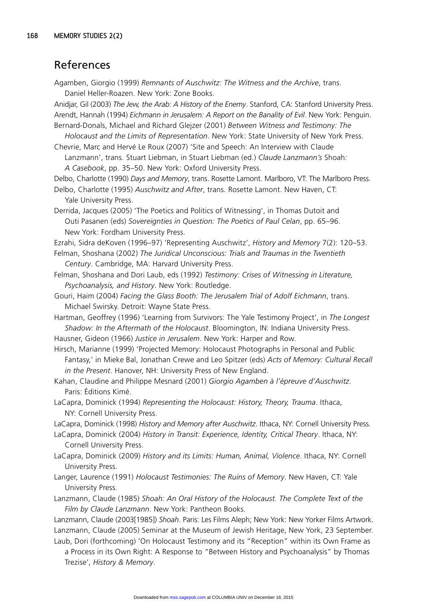### References

Agamben, Giorgio (1999) *Remnants of Auschwitz: The Witness and the Archive*, trans. Daniel Heller-Roazen. New York: Zone Books.

Anidjar, Gil (2003) *The Jew, the Arab: A History of the Enemy*. Stanford, CA: Stanford University Press. Arendt, Hannah (1994) *Eichmann in Jerusalem: A Report on the Banality of Evil*. New York: Penguin.

Bernard-Donals, Michael and Richard Glejzer (2001) *Between Witness and Testimony: The Holocaust and the Limits of Representation*. New York: State University of New York Press.

Chevrie, Marc and Hervé Le Roux (2007) 'Site and Speech: An Interview with Claude Lanzmann', trans. Stuart Liebman, in Stuart Liebman (ed.) *Claude Lanzmann's* Shoah*: A Casebook*, pp. 35–50. New York: Oxford University Press.

Delbo, Charlotte (1990) *Days and Memory*, trans. Rosette Lamont. Marlboro, VT: The Marlboro Press.

Delbo, Charlotte (1995) *Auschwitz and After*, trans. Rosette Lamont. New Haven, CT: Yale University Press.

Derrida, Jacques (2005) 'The Poetics and Politics of Witnessing', in Thomas Dutoit and Outi Pasanen (eds) *Sovereignties in Question: The Poetics of Paul Celan*, pp. 65–96. New York: Fordham University Press.

Ezrahi, Sidra deKoven (1996–97) 'Representing Auschwitz', *History and Memory* 7(2): 120–53.

Felman, Shoshana (2002) *The Juridical Unconscious: Trials and Traumas in the Twentieth Century*. Cambridge, MA: Harvard University Press.

- Felman, Shoshana and Dori Laub, eds (1992) *Testimony: Crises of Witnessing in Literature, Psychoanalysis, and History*. New York: Routledge.
- Gouri, Haim (2004) *Facing the Glass Booth: The Jerusalem Trial of Adolf Eichmann*, trans. Michael Swirsky. Detroit: Wayne State Press.

Hartman, Geoffrey (1996) 'Learning from Survivors: The Yale Testimony Project', in *The Longest Shadow: In the Aftermath of the Holocaust*. Bloomington, IN: Indiana University Press. Hausner, Gideon (1966) *Justice in Jerusalem*. New York: Harper and Row.

Hirsch, Marianne (1999) 'Projected Memory: Holocaust Photographs in Personal and Public Fantasy,' in Mieke Bal, Jonathan Crewe and Leo Spitzer (eds) *Acts of Memory: Cultural Recall in the Present*. Hanover, NH: University Press of New England.

Kahan, Claudine and Philippe Mesnard (2001) *Giorgio Agamben à l'épreuve d'Auschwitz*. Paris: Éditions Kimé.

LaCapra, Dominick (1994) *Representing the Holocaust: History, Theory, Trauma*. Ithaca, NY: Cornell University Press.

LaCapra, Dominick (1998) *History and Memory after Auschwitz*. Ithaca, NY: Cornell University Press.

LaCapra, Dominick (2004) *History in Transit: Experience, Identity, Critical Theory*. Ithaca, NY: Cornell University Press.

- LaCapra, Dominick (2009) *History and its Limits: Human, Animal, Violence*. Ithaca, NY: Cornell University Press.
- Langer, Laurence (1991) *Holocaust Testimonies: The Ruins of Memory*. New Haven, CT: Yale University Press.
- Lanzmann, Claude (1985) *Shoah: An Oral History of the Holocaust. The Complete Text of the Film by Claude Lanzmann*. New York: Pantheon Books.

Lanzmann, Claude (2003[1985]) *Shoah*. Paris: Les Films Aleph; New York: New Yorker Films Artwork. Lanzmann, Claude (2005) Seminar at the Museum of Jewish Heritage, New York, 23 September. Laub, Dori (forthcoming) 'On Holocaust Testimony and its "Reception" within its Own Frame as

a Process in its Own Right: A Response to "Between History and Psychoanalysis" by Thomas Trezise', *History & Memory*.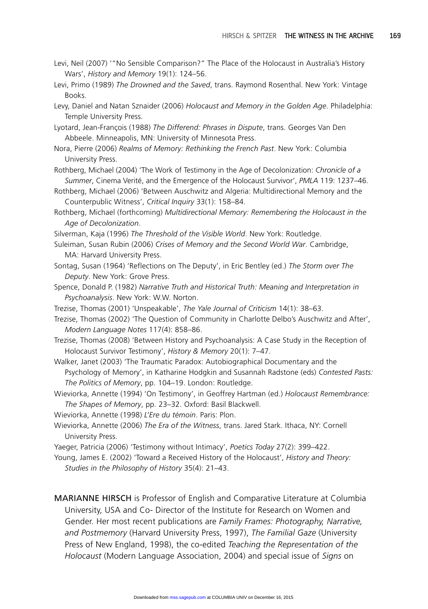- Levi, Neil (2007) '"No Sensible Comparison?" The Place of the Holocaust in Australia's History Wars', *History and Memory* 19(1): 124–56.
- Levi, Primo (1989) *The Drowned and the Saved*, trans. Raymond Rosenthal. New York: Vintage Books.
- Levy, Daniel and Natan Sznaider (2006) *Holocaust and Memory in the Golden Age*. Philadelphia: Temple University Press.
- Lyotard, Jean-François (1988) *The Differend: Phrases in Dispute*, trans. Georges Van Den Abbeele. Minneapolis, MN: University of Minnesota Press.
- Nora, Pierre (2006) *Realms of Memory: Rethinking the French Past*. New York: Columbia University Press.
- Rothberg, Michael (2004) 'The Work of Testimony in the Age of Decolonization: *Chronicle of a Summer*, Cinema Verité, and the Emergence of the Holocaust Survivor', *PMLA* 119: 1237–46.
- Rothberg, Michael (2006) 'Between Auschwitz and Algeria: Multidirectional Memory and the Counterpublic Witness', *Critical Inquiry* 33(1): 158–84.
- Rothberg, Michael (forthcoming) *Multidirectional Memory: Remembering the Holocaust in the Age of Decolonization*.
- Silverman, Kaja (1996) *The Threshold of the Visible World*. New York: Routledge.
- Suleiman, Susan Rubin (2006) *Crises of Memory and the Second World War*. Cambridge, MA: Harvard University Press.
- Sontag, Susan (1964) 'Reflections on The Deputy', in Eric Bentley (ed.) *The Storm over The Deputy*. New York: Grove Press.
- Spence, Donald P. (1982) *Narrative Truth and Historical Truth: Meaning and Interpretation in Psychoanalysis*. New York: W.W. Norton.
- Trezise, Thomas (2001) 'Unspeakable', *The Yale Journal of Criticism* 14(1): 38–63.
- Trezise, Thomas (2002) 'The Question of Community in Charlotte Delbo's Auschwitz and After', *Modern Language Notes* 117(4): 858–86.
- Trezise, Thomas (2008) 'Between History and Psychoanalysis: A Case Study in the Reception of Holocaust Survivor Testimony', *History & Memory* 20(1): 7–47.
- Walker, Janet (2003) 'The Traumatic Paradox: Autobiographical Documentary and the Psychology of Memory', in Katharine Hodgkin and Susannah Radstone (eds) *Contested Pasts: The Politics of Memory*, pp. 104–19. London: Routledge.
- Wieviorka, Annette (1994) 'On Testimony', in Geoffrey Hartman (ed.) *Holocaust Remembrance: The Shapes of Memory*, pp. 23–32. Oxford: Basil Blackwell.
- Wieviorka, Annette (1998) *L'Ere du témoin*. Paris: Plon.
- Wieviorka, Annette (2006) *The Era of the Witness*, trans. Jared Stark. Ithaca, NY: Cornell University Press.
- Yaeger, Patricia (2006) 'Testimony without Intimacy', *Poetics Today* 27(2): 399–422.
- Young, James E. (2002) 'Toward a Received History of the Holocaust', *History and Theory: Studies in the Philosophy of History* 35(4): 21–43.

MARIANNE HIRSCH is Professor of English and Comparative Literature at Columbia University, USA and Co- Director of the Institute for Research on Women and Gender. Her most recent publications are *Family Frames: Photography, Narrative, and Postmemory* (Harvard University Press, 1997), *The Familial Gaze* (University Press of New England, 1998), the co-edited *Teaching the Representation of the Holocaust* (Modern Language Association, 2004) and special issue of *Signs* on